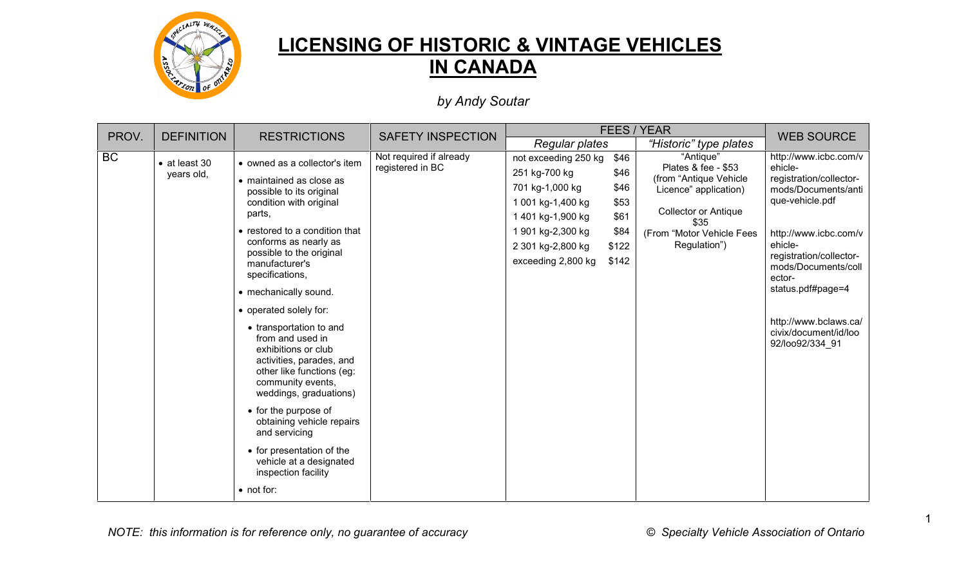

## **LICENSING OF HISTORIC & VINTAGE VEHICLES IN CANADA**

*by Andy Soutar*

| PROV.<br><b>DEFINITION</b> |                                     | <b>RESTRICTIONS</b>                                                                                                                                                                                                                                                                                                                                                                                                                                                                                                                                                                                                                          | <b>SAFETY INSPECTION</b>                    | FEES / YEAR                                                                                                                                                        | <b>WEB SOURCE</b>                                              |                                                                                                                                                                         |                                                                                                                                                                                                                                                                                                 |
|----------------------------|-------------------------------------|----------------------------------------------------------------------------------------------------------------------------------------------------------------------------------------------------------------------------------------------------------------------------------------------------------------------------------------------------------------------------------------------------------------------------------------------------------------------------------------------------------------------------------------------------------------------------------------------------------------------------------------------|---------------------------------------------|--------------------------------------------------------------------------------------------------------------------------------------------------------------------|----------------------------------------------------------------|-------------------------------------------------------------------------------------------------------------------------------------------------------------------------|-------------------------------------------------------------------------------------------------------------------------------------------------------------------------------------------------------------------------------------------------------------------------------------------------|
|                            |                                     |                                                                                                                                                                                                                                                                                                                                                                                                                                                                                                                                                                                                                                              |                                             | Regular plates                                                                                                                                                     |                                                                | "Historic" type plates                                                                                                                                                  |                                                                                                                                                                                                                                                                                                 |
| <b>BC</b>                  | $\bullet$ at least 30<br>years old, | • owned as a collector's item<br>• maintained as close as<br>possible to its original<br>condition with original<br>parts,<br>• restored to a condition that<br>conforms as nearly as<br>possible to the original<br>manufacturer's<br>specifications,<br>• mechanically sound.<br>• operated solely for:<br>• transportation to and<br>from and used in<br>exhibitions or club<br>activities, parades, and<br>other like functions (eg:<br>community events,<br>weddings, graduations)<br>• for the purpose of<br>obtaining vehicle repairs<br>and servicing<br>• for presentation of the<br>vehicle at a designated<br>inspection facility | Not required if already<br>registered in BC | not exceeding 250 kg<br>251 kg-700 kg<br>701 kg-1,000 kg<br>1 001 kg-1,400 kg<br>1 401 kg-1,900 kg<br>1 901 kg-2,300 kg<br>2 301 kg-2,800 kg<br>exceeding 2,800 kg | \$46<br>\$46<br>\$46<br>\$53<br>\$61<br>\$84<br>\$122<br>\$142 | "Antique"<br>Plates & fee - \$53<br>(from "Antique Vehicle<br>Licence" application)<br><b>Collector or Antique</b><br>\$35<br>(From "Motor Vehicle Fees<br>Regulation") | http://www.icbc.com/v<br>ehicle-<br>registration/collector-<br>mods/Documents/anti<br>que-vehicle.pdf<br>http://www.icbc.com/v<br>ehicle-<br>registration/collector-<br>mods/Documents/coll<br>ector-<br>status.pdf#page=4<br>http://www.bclaws.ca/<br>civix/document/id/loo<br>92/loo92/334 91 |

*NOTE: this information is for reference only, no guarantee of accuracy © Specialty Vehicle Association of Ontario*

1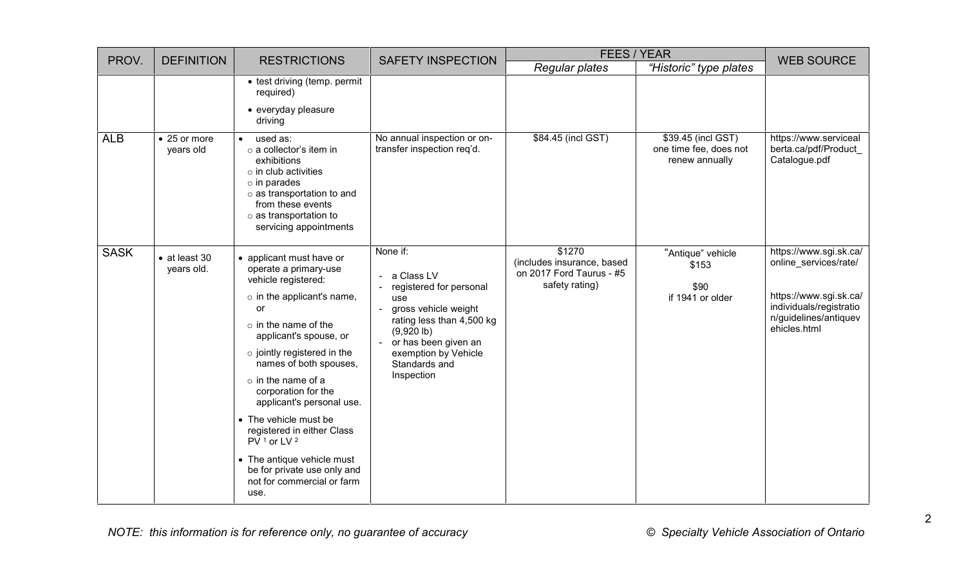| PROV.       | <b>DEFINITION</b>                   | <b>RESTRICTIONS</b>                                                                                                                                                                                                                                                                                                                                                                                                                                                                                           | <b>SAFETY INSPECTION</b>                                                                                                                                                                                                                                | <b>FEES / YEAR</b>                                                                 | <b>WEB SOURCE</b>                                              |                                                                                                                                               |
|-------------|-------------------------------------|---------------------------------------------------------------------------------------------------------------------------------------------------------------------------------------------------------------------------------------------------------------------------------------------------------------------------------------------------------------------------------------------------------------------------------------------------------------------------------------------------------------|---------------------------------------------------------------------------------------------------------------------------------------------------------------------------------------------------------------------------------------------------------|------------------------------------------------------------------------------------|----------------------------------------------------------------|-----------------------------------------------------------------------------------------------------------------------------------------------|
|             |                                     |                                                                                                                                                                                                                                                                                                                                                                                                                                                                                                               |                                                                                                                                                                                                                                                         | Regular plates                                                                     | "Historic" type plates                                         |                                                                                                                                               |
|             |                                     | • test driving (temp. permit<br>required)<br>• everyday pleasure<br>driving                                                                                                                                                                                                                                                                                                                                                                                                                                   |                                                                                                                                                                                                                                                         |                                                                                    |                                                                |                                                                                                                                               |
| <b>ALB</b>  | $\bullet$ 25 or more<br>years old   | used as:<br>$\bullet$<br>o a collector's item in<br>exhibitions<br>$\circ$ in club activities<br>$\circ$ in parades<br>o as transportation to and<br>from these events<br>$\circ$ as transportation to<br>servicing appointments                                                                                                                                                                                                                                                                              | No annual inspection or on-<br>transfer inspection req'd.                                                                                                                                                                                               | \$84.45 (incl GST)                                                                 | \$39.45 (incl GST)<br>one time fee, does not<br>renew annually | https://www.serviceal<br>berta.ca/pdf/Product<br>Catalogue.pdf                                                                                |
| <b>SASK</b> | $\bullet$ at least 30<br>years old. | • applicant must have or<br>operate a primary-use<br>vehicle registered:<br>$\circ$ in the applicant's name,<br><b>or</b><br>$\circ$ in the name of the<br>applicant's spouse, or<br>$\circ$ jointly registered in the<br>names of both spouses,<br>$\circ$ in the name of a<br>corporation for the<br>applicant's personal use.<br>• The vehicle must be<br>registered in either Class<br>$PV1$ or LV $2$<br>• The antique vehicle must<br>be for private use only and<br>not for commercial or farm<br>use. | None if:<br>a Class LV<br>$\blacksquare$<br>registered for personal<br>use<br>gross vehicle weight<br>$\omega$<br>rating less than 4,500 kg<br>$(9,920 \, lb)$<br>or has been given an<br>$\sim$<br>exemption by Vehicle<br>Standards and<br>Inspection | \$1270<br>(includes insurance, based<br>on 2017 Ford Taurus - #5<br>safety rating) | "Antique" vehicle<br>\$153<br>\$90<br>if 1941 or older         | https://www.sgi.sk.ca/<br>online_services/rate/<br>https://www.sgi.sk.ca/<br>individuals/registratio<br>n/guidelines/antiquev<br>ehicles.html |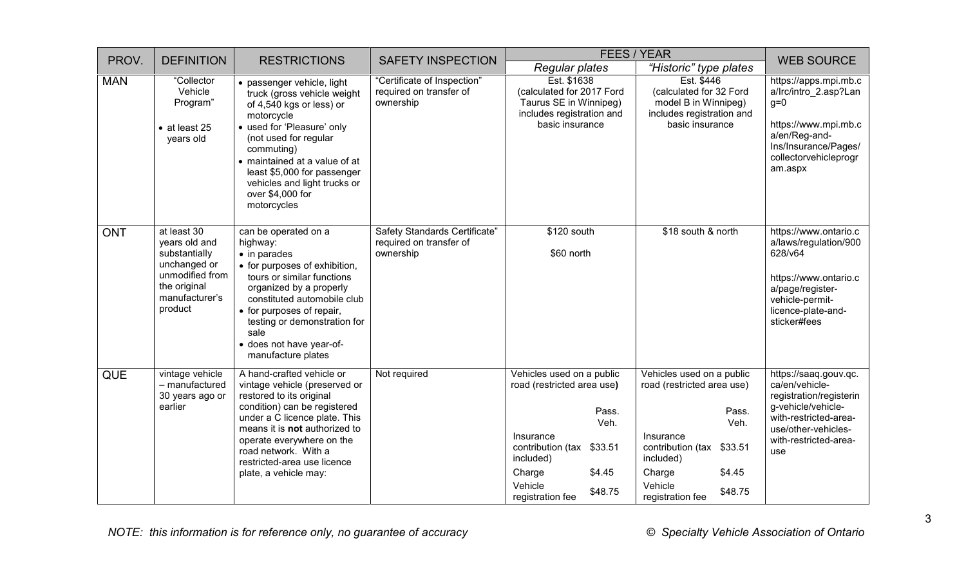| PROV.      | <b>DEFINITION</b>                                                                                                             | <b>RESTRICTIONS</b>                                                                                                                                                                                                                                                                                         | <b>SAFETY INSPECTION</b>                                              | <b>FEES / YEAR</b>                                                                                                                                                                            |                                                                                                                                                                                                  | <b>WEB SOURCE</b>                                                                                                                                                        |
|------------|-------------------------------------------------------------------------------------------------------------------------------|-------------------------------------------------------------------------------------------------------------------------------------------------------------------------------------------------------------------------------------------------------------------------------------------------------------|-----------------------------------------------------------------------|-----------------------------------------------------------------------------------------------------------------------------------------------------------------------------------------------|--------------------------------------------------------------------------------------------------------------------------------------------------------------------------------------------------|--------------------------------------------------------------------------------------------------------------------------------------------------------------------------|
|            |                                                                                                                               |                                                                                                                                                                                                                                                                                                             |                                                                       | <b>Regular plates</b>                                                                                                                                                                         | "Historic" type plates                                                                                                                                                                           |                                                                                                                                                                          |
| <b>MAN</b> | "Collector<br>Vehicle<br>Program"<br>$\bullet$ at least 25<br>years old                                                       | • passenger vehicle, light<br>truck (gross vehicle weight<br>of 4,540 kgs or less) or<br>motorcycle<br>• used for 'Pleasure' only<br>(not used for regular<br>commuting)<br>• maintained at a value of at<br>least \$5,000 for passenger<br>vehicles and light trucks or<br>over \$4,000 for<br>motorcycles | "Certificate of Inspection"<br>required on transfer of<br>ownership   | Est. \$1638<br>(calculated for 2017 Ford<br>Taurus SE in Winnipeg)<br>includes registration and<br>basic insurance                                                                            | Est. \$446<br>(calculated for 32 Ford<br>model B in Winnipeg)<br>includes registration and<br>basic insurance                                                                                    | https://apps.mpi.mb.c<br>a/Irc/intro 2.asp?Lan<br>$g=0$<br>https://www.mpi.mb.c<br>a/en/Reg-and-<br>Ins/Insurance/Pages/<br>collectorvehicleprogr<br>am.aspx             |
| <b>ONT</b> | at least 30<br>years old and<br>substantially<br>unchanged or<br>unmodified from<br>the original<br>manufacturer's<br>product | can be operated on a<br>highway:<br>$\bullet$ in parades<br>• for purposes of exhibition,<br>tours or similar functions<br>organized by a properly<br>constituted automobile club<br>• for purposes of repair,<br>testing or demonstration for<br>sale<br>· does not have year-of-<br>manufacture plates    | Safety Standards Certificate"<br>required on transfer of<br>ownership | \$120 south<br>\$60 north                                                                                                                                                                     | \$18 south & north                                                                                                                                                                               | https://www.ontario.c<br>a/laws/regulation/900<br>628/v64<br>https://www.ontario.c<br>a/page/register-<br>vehicle-permit-<br>licence-plate-and-<br>sticker#fees          |
| <b>QUE</b> | vintage vehicle<br>- manufactured<br>30 years ago or<br>earlier                                                               | A hand-crafted vehicle or<br>vintage vehicle (preserved or<br>restored to its original<br>condition) can be registered<br>under a C licence plate. This<br>means it is not authorized to<br>operate everywhere on the<br>road network. With a<br>restricted-area use licence<br>plate, a vehicle may:       | Not required                                                          | Vehicles used on a public<br>road (restricted area use)<br>Pass.<br>Veh.<br>Insurance<br>contribution (tax \$33.51<br>included)<br>Charge<br>\$4.45<br>Vehicle<br>\$48.75<br>registration fee | Vehicles used on a public<br>road (restricted area use)<br>Pass.<br>Veh.<br>Insurance<br>contribution (tax<br>\$33.51<br>included)<br>Charge<br>\$4.45<br>Vehicle<br>\$48.75<br>registration fee | https://saaq.gouv.qc.<br>ca/en/vehicle-<br>registration/registerin<br>g-vehicle/vehicle-<br>with-restricted-area-<br>use/other-vehicles-<br>with-restricted-area-<br>use |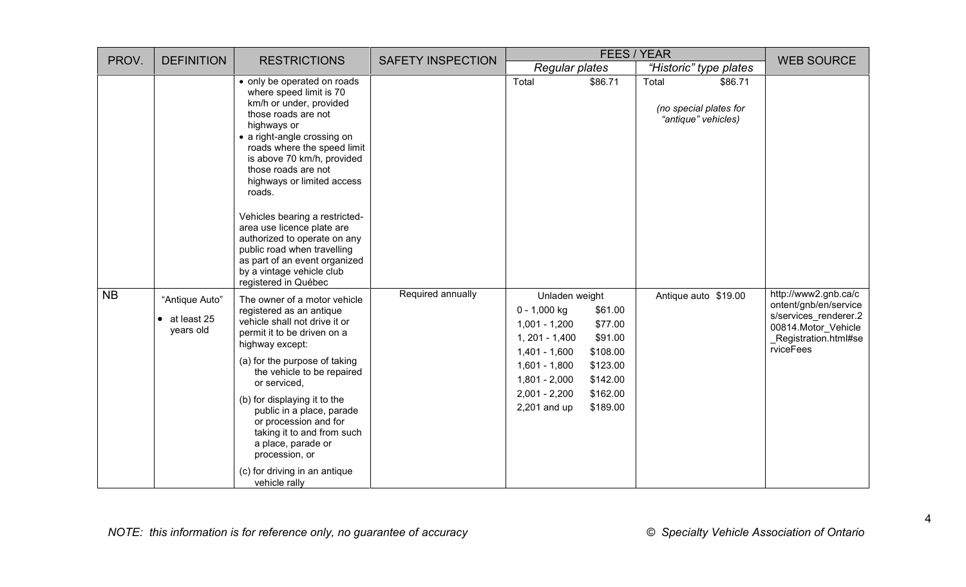| PROV.     | <b>DEFINITION</b>                                       | <b>RESTRICTIONS</b>                                                                                                                                                                                                                                                                                                                                                                                                                                                                                     | <b>SAFETY INSPECTION</b> | <b>FEES / YEAR</b>                                                                                                                                                  |                                                                                           |       | <b>WEB SOURCE</b>                                        |                                                                                                                                     |
|-----------|---------------------------------------------------------|---------------------------------------------------------------------------------------------------------------------------------------------------------------------------------------------------------------------------------------------------------------------------------------------------------------------------------------------------------------------------------------------------------------------------------------------------------------------------------------------------------|--------------------------|---------------------------------------------------------------------------------------------------------------------------------------------------------------------|-------------------------------------------------------------------------------------------|-------|----------------------------------------------------------|-------------------------------------------------------------------------------------------------------------------------------------|
|           |                                                         |                                                                                                                                                                                                                                                                                                                                                                                                                                                                                                         |                          | <b>Regular plates</b>                                                                                                                                               |                                                                                           |       | "Historic" type plates                                   |                                                                                                                                     |
|           |                                                         | • only be operated on roads<br>where speed limit is 70<br>km/h or under, provided<br>those roads are not<br>highways or<br>• a right-angle crossing on<br>roads where the speed limit<br>is above 70 km/h, provided<br>those roads are not<br>highways or limited access<br>roads.<br>Vehicles bearing a restricted-<br>area use licence plate are<br>authorized to operate on any<br>public road when travelling<br>as part of an event organized<br>by a vintage vehicle club<br>registered in Québec |                          | Total                                                                                                                                                               | \$86.71                                                                                   | Total | \$86.71<br>(no special plates for<br>"antique" vehicles) |                                                                                                                                     |
| <b>NB</b> | "Antique Auto"<br>at least 25<br>$\bullet$<br>years old | The owner of a motor vehicle<br>registered as an antique<br>vehicle shall not drive it or<br>permit it to be driven on a<br>highway except:<br>(a) for the purpose of taking<br>the vehicle to be repaired<br>or serviced,<br>(b) for displaying it to the<br>public in a place, parade<br>or procession and for<br>taking it to and from such<br>a place, parade or<br>procession, or<br>(c) for driving in an antique<br>vehicle rally                                                                | Required annually        | Unladen weight<br>$0 - 1,000$ kg<br>$1,001 - 1,200$<br>$1, 201 - 1,400$<br>$1,401 - 1,600$<br>$1,601 - 1,800$<br>$1,801 - 2,000$<br>$2,001 - 2,200$<br>2,201 and up | \$61.00<br>\$77.00<br>\$91.00<br>\$108.00<br>\$123.00<br>\$142.00<br>\$162.00<br>\$189.00 |       | Antique auto \$19.00                                     | http://www2.gnb.ca/c<br>ontent/gnb/en/service<br>s/services_renderer.2<br>00814.Motor Vehicle<br>_Registration.html#se<br>rviceFees |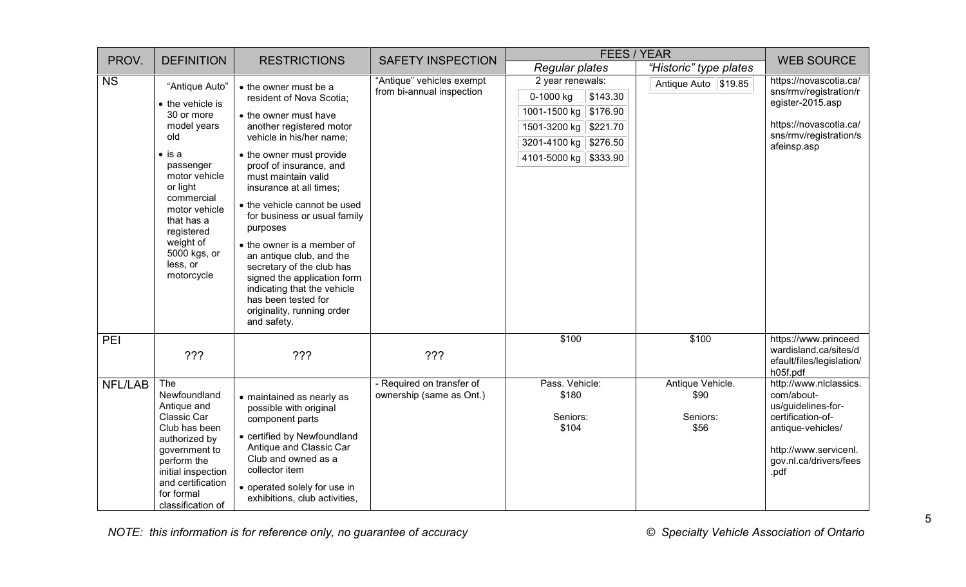| PROV.          | <b>DEFINITION</b>                                                                                                                                                                                                                                    | <b>RESTRICTIONS</b>                                                                                                                                                                                                                                                                                                                                                                                                                                                          | <b>SAFETY INSPECTION</b>                               | <b>FEES / YEAR</b>                                                                                                                                    | <b>WEB SOURCE</b>                            |                                                                                                                                                                             |
|----------------|------------------------------------------------------------------------------------------------------------------------------------------------------------------------------------------------------------------------------------------------------|------------------------------------------------------------------------------------------------------------------------------------------------------------------------------------------------------------------------------------------------------------------------------------------------------------------------------------------------------------------------------------------------------------------------------------------------------------------------------|--------------------------------------------------------|-------------------------------------------------------------------------------------------------------------------------------------------------------|----------------------------------------------|-----------------------------------------------------------------------------------------------------------------------------------------------------------------------------|
|                |                                                                                                                                                                                                                                                      |                                                                                                                                                                                                                                                                                                                                                                                                                                                                              |                                                        | <b>Regular plates</b>                                                                                                                                 | "Historic" type plates                       |                                                                                                                                                                             |
| <b>NS</b>      | "Antique Auto"<br>• the vehicle is<br>30 or more<br>model years<br>old<br>$\bullet$ is a<br>passenger<br>motor vehicle<br>or light<br>commercial<br>motor vehicle<br>that has a<br>registered<br>weight of<br>5000 kgs, or<br>less, or<br>motorcycle | • the owner must be a<br>resident of Nova Scotia;<br>• the owner must have<br>another registered motor<br>vehicle in his/her name;<br>• the owner must provide<br>proof of insurance, and<br>must maintain valid<br>insurance at all times;<br>• the vehicle cannot be used<br>for business or usual family<br>purposes<br>• the owner is a member of<br>an antique club, and the<br>secretary of the club has<br>signed the application form<br>indicating that the vehicle | "Antique" vehicles exempt<br>from bi-annual inspection | 2 year renewals:<br>\$143.30<br>0-1000 kg<br>1001-1500 kg   \$176.90<br>1501-3200 kg   \$221.70<br>3201-4100 kg   \$276.50<br>4101-5000 kg   \$333.90 | Antique Auto \\$19.85                        | https://novascotia.ca/<br>sns/rmv/registration/r<br>egister-2015.asp<br>https://novascotia.ca/<br>sns/rmv/registration/s<br>afeinsp.asp                                     |
| PEI            | ???                                                                                                                                                                                                                                                  | has been tested for<br>originality, running order<br>and safety.<br>???                                                                                                                                                                                                                                                                                                                                                                                                      | ???                                                    | \$100                                                                                                                                                 | \$100                                        | https://www.princeed<br>wardisland.ca/sites/d<br>efault/files/legislation/                                                                                                  |
| <b>NFL/LAB</b> | The<br>Newfoundland<br>Antique and<br>Classic Car<br>Club has been<br>authorized by<br>government to<br>perform the<br>initial inspection<br>and certification<br>for formal<br>classification of                                                    | • maintained as nearly as<br>possible with original<br>component parts<br>• certified by Newfoundland<br>Antique and Classic Car<br>Club and owned as a<br>collector item<br>• operated solely for use in<br>exhibitions, club activities,                                                                                                                                                                                                                                   | - Required on transfer of<br>ownership (same as Ont.)  | Pass. Vehicle:<br>\$180<br>Seniors:<br>\$104                                                                                                          | Antique Vehicle.<br>\$90<br>Seniors:<br>\$56 | h05f.pdf<br>http://www.nlclassics.<br>com/about-<br>us/guidelines-for-<br>certification-of-<br>antique-vehicles/<br>http://www.servicenl.<br>gov.nl.ca/drivers/fees<br>.pdf |

*NOTE: this information is for reference only, no guarantee of accuracy © Specialty Vehicle Association of Ontario*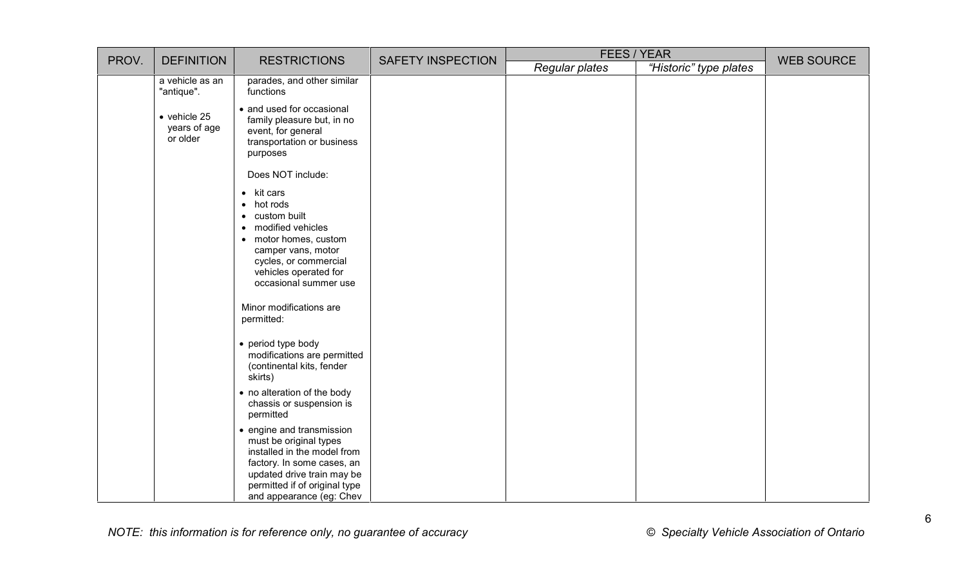| PROV. | <b>DEFINITION</b>                                | <b>RESTRICTIONS</b>                                                                                                                                                                                                                                                                                                                    | <b>SAFETY INSPECTION</b> | FEES / YEAR    |                        | <b>WEB SOURCE</b> |
|-------|--------------------------------------------------|----------------------------------------------------------------------------------------------------------------------------------------------------------------------------------------------------------------------------------------------------------------------------------------------------------------------------------------|--------------------------|----------------|------------------------|-------------------|
|       |                                                  |                                                                                                                                                                                                                                                                                                                                        |                          | Regular plates | "Historic" type plates |                   |
|       | a vehicle as an<br>"antique".                    | parades, and other similar<br>functions                                                                                                                                                                                                                                                                                                |                          |                |                        |                   |
|       | $\bullet$ vehicle 25<br>years of age<br>or older | • and used for occasional<br>family pleasure but, in no<br>event, for general<br>transportation or business<br>purposes                                                                                                                                                                                                                |                          |                |                        |                   |
|       |                                                  | Does NOT include:                                                                                                                                                                                                                                                                                                                      |                          |                |                        |                   |
|       |                                                  | $\bullet$ kit cars<br>$\bullet$ hot rods<br>• custom built<br>• modified vehicles<br>• motor homes, custom<br>camper vans, motor<br>cycles, or commercial<br>vehicles operated for<br>occasional summer use<br>Minor modifications are<br>permitted:<br>• period type body<br>modifications are permitted<br>(continental kits, fender |                          |                |                        |                   |
|       |                                                  | skirts)<br>• no alteration of the body<br>chassis or suspension is<br>permitted                                                                                                                                                                                                                                                        |                          |                |                        |                   |
|       |                                                  | • engine and transmission<br>must be original types<br>installed in the model from<br>factory. In some cases, an<br>updated drive train may be<br>permitted if of original type<br>and appearance (eg: Chev                                                                                                                            |                          |                |                        |                   |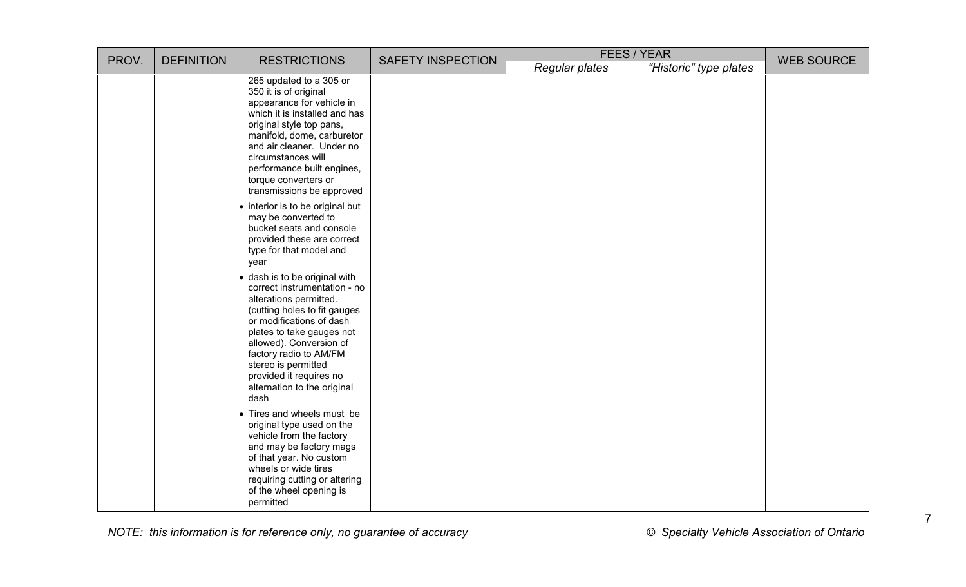| PROV. | <b>DEFINITION</b> | <b>RESTRICTIONS</b>                                                                                                                                                                                                                                                                                                            | <b>FEES / YEAR</b><br><b>SAFETY INSPECTION</b><br>Regular plates<br>"Historic" type plates |  |  |  | <b>WEB SOURCE</b> |
|-------|-------------------|--------------------------------------------------------------------------------------------------------------------------------------------------------------------------------------------------------------------------------------------------------------------------------------------------------------------------------|--------------------------------------------------------------------------------------------|--|--|--|-------------------|
|       |                   |                                                                                                                                                                                                                                                                                                                                |                                                                                            |  |  |  |                   |
|       |                   | 265 updated to a 305 or<br>350 it is of original<br>appearance for vehicle in<br>which it is installed and has<br>original style top pans,<br>manifold, dome, carburetor<br>and air cleaner. Under no<br>circumstances will<br>performance built engines,<br>torque converters or<br>transmissions be approved                 |                                                                                            |  |  |  |                   |
|       |                   | • interior is to be original but<br>may be converted to<br>bucket seats and console<br>provided these are correct<br>type for that model and<br>year                                                                                                                                                                           |                                                                                            |  |  |  |                   |
|       |                   | · dash is to be original with<br>correct instrumentation - no<br>alterations permitted.<br>(cutting holes to fit gauges<br>or modifications of dash<br>plates to take gauges not<br>allowed). Conversion of<br>factory radio to AM/FM<br>stereo is permitted<br>provided it requires no<br>alternation to the original<br>dash |                                                                                            |  |  |  |                   |
|       |                   | • Tires and wheels must be<br>original type used on the<br>vehicle from the factory<br>and may be factory mags<br>of that year. No custom<br>wheels or wide tires<br>requiring cutting or altering<br>of the wheel opening is<br>permitted                                                                                     |                                                                                            |  |  |  |                   |

*NOTE: this information is for reference only, no guarantee of accuracy © Specialty Vehicle Association of Ontario*